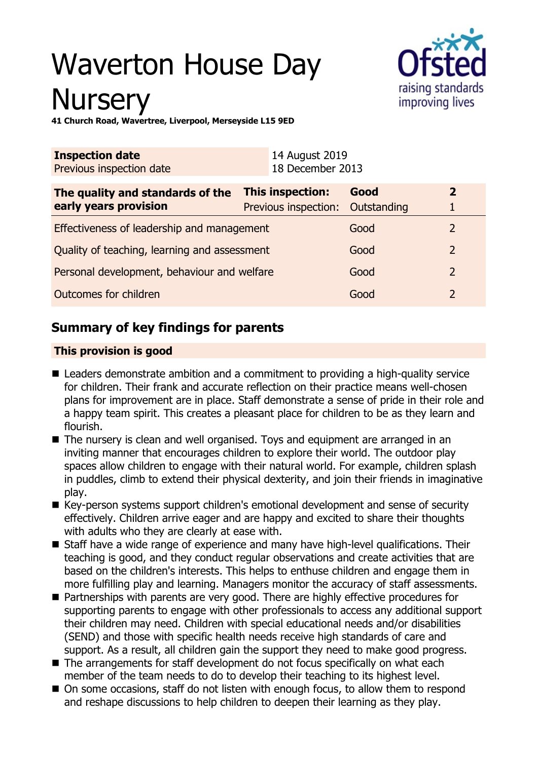# Waverton House Day **Nursery**



**41 Church Road, Wavertree, Liverpool, Merseyside L15 9ED**

| <b>Inspection date</b><br>Previous inspection date        | 14 August 2019<br>18 December 2013                   |      |                |
|-----------------------------------------------------------|------------------------------------------------------|------|----------------|
| The quality and standards of the<br>early years provision | This inspection:<br>Previous inspection: Outstanding | Good | $\overline{2}$ |
| Effectiveness of leadership and management                |                                                      | Good |                |
| Quality of teaching, learning and assessment              |                                                      | Good | 2              |
| Personal development, behaviour and welfare               |                                                      | Good | 2              |
| Outcomes for children                                     |                                                      | Good |                |

# **Summary of key findings for parents**

## **This provision is good**

- $\blacksquare$  Leaders demonstrate ambition and a commitment to providing a high-quality service for children. Their frank and accurate reflection on their practice means well-chosen plans for improvement are in place. Staff demonstrate a sense of pride in their role and a happy team spirit. This creates a pleasant place for children to be as they learn and flourish.
- $\blacksquare$  The nursery is clean and well organised. Toys and equipment are arranged in an inviting manner that encourages children to explore their world. The outdoor play spaces allow children to engage with their natural world. For example, children splash in puddles, climb to extend their physical dexterity, and join their friends in imaginative play.
- Key-person systems support children's emotional development and sense of security effectively. Children arrive eager and are happy and excited to share their thoughts with adults who they are clearly at ease with.
- Staff have a wide range of experience and many have high-level qualifications. Their teaching is good, and they conduct regular observations and create activities that are based on the children's interests. This helps to enthuse children and engage them in more fulfilling play and learning. Managers monitor the accuracy of staff assessments.
- Partnerships with parents are very good. There are highly effective procedures for supporting parents to engage with other professionals to access any additional support their children may need. Children with special educational needs and/or disabilities (SEND) and those with specific health needs receive high standards of care and support. As a result, all children gain the support they need to make good progress.
- $\blacksquare$  The arrangements for staff development do not focus specifically on what each member of the team needs to do to develop their teaching to its highest level.
- On some occasions, staff do not listen with enough focus, to allow them to respond and reshape discussions to help children to deepen their learning as they play.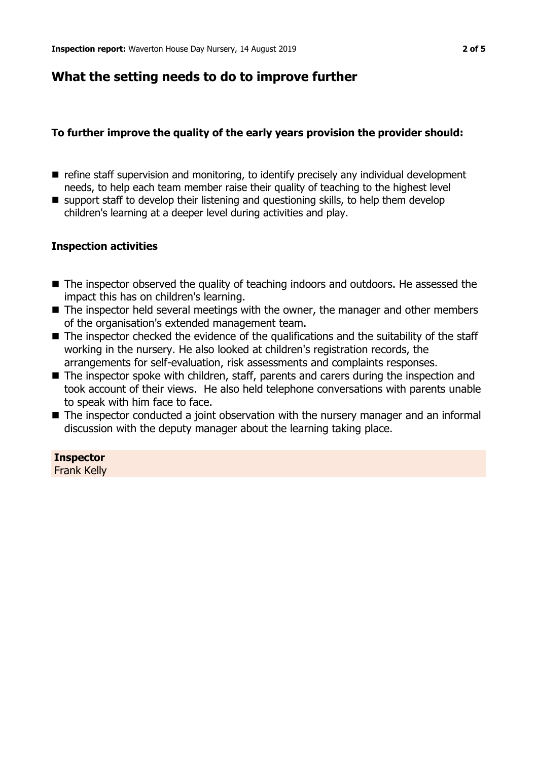## **What the setting needs to do to improve further**

## **To further improve the quality of the early years provision the provider should:**

- $\blacksquare$  refine staff supervision and monitoring, to identify precisely any individual development needs, to help each team member raise their quality of teaching to the highest level
- $\blacksquare$  support staff to develop their listening and questioning skills, to help them develop children's learning at a deeper level during activities and play.

#### **Inspection activities**

- The inspector observed the quality of teaching indoors and outdoors. He assessed the impact this has on children's learning.
- $\blacksquare$  The inspector held several meetings with the owner, the manager and other members of the organisation's extended management team.
- $\blacksquare$  The inspector checked the evidence of the qualifications and the suitability of the staff working in the nursery. He also looked at children's registration records, the arrangements for self-evaluation, risk assessments and complaints responses.
- $\blacksquare$  The inspector spoke with children, staff, parents and carers during the inspection and took account of their views. He also held telephone conversations with parents unable to speak with him face to face.
- The inspector conducted a joint observation with the nursery manager and an informal discussion with the deputy manager about the learning taking place.

**Inspector** Frank Kelly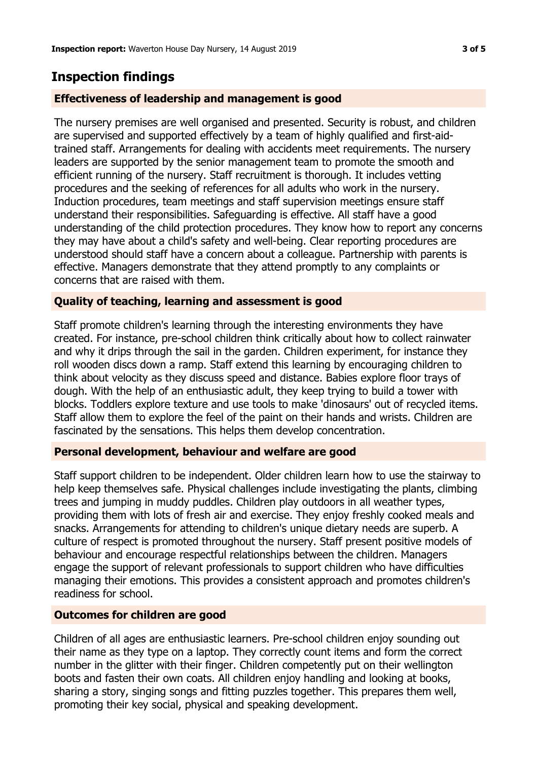## **Inspection findings**

## **Effectiveness of leadership and management is good**

The nursery premises are well organised and presented. Security is robust, and children are supervised and supported effectively by a team of highly qualified and first-aidtrained staff. Arrangements for dealing with accidents meet requirements. The nursery leaders are supported by the senior management team to promote the smooth and efficient running of the nursery. Staff recruitment is thorough. It includes vetting procedures and the seeking of references for all adults who work in the nursery. Induction procedures, team meetings and staff supervision meetings ensure staff understand their responsibilities. Safeguarding is effective. All staff have a good understanding of the child protection procedures. They know how to report any concerns they may have about a child's safety and well-being. Clear reporting procedures are understood should staff have a concern about a colleague. Partnership with parents is effective. Managers demonstrate that they attend promptly to any complaints or concerns that are raised with them.

## **Quality of teaching, learning and assessment is good**

Staff promote children's learning through the interesting environments they have created. For instance, pre-school children think critically about how to collect rainwater and why it drips through the sail in the garden. Children experiment, for instance they roll wooden discs down a ramp. Staff extend this learning by encouraging children to think about velocity as they discuss speed and distance. Babies explore floor trays of dough. With the help of an enthusiastic adult, they keep trying to build a tower with blocks. Toddlers explore texture and use tools to make 'dinosaurs' out of recycled items. Staff allow them to explore the feel of the paint on their hands and wrists. Children are fascinated by the sensations. This helps them develop concentration.

## **Personal development, behaviour and welfare are good**

Staff support children to be independent. Older children learn how to use the stairway to help keep themselves safe. Physical challenges include investigating the plants, climbing trees and jumping in muddy puddles. Children play outdoors in all weather types, providing them with lots of fresh air and exercise. They enjoy freshly cooked meals and snacks. Arrangements for attending to children's unique dietary needs are superb. A culture of respect is promoted throughout the nursery. Staff present positive models of behaviour and encourage respectful relationships between the children. Managers engage the support of relevant professionals to support children who have difficulties managing their emotions. This provides a consistent approach and promotes children's readiness for school.

## **Outcomes for children are good**

Children of all ages are enthusiastic learners. Pre-school children enjoy sounding out their name as they type on a laptop. They correctly count items and form the correct number in the glitter with their finger. Children competently put on their wellington boots and fasten their own coats. All children enjoy handling and looking at books, sharing a story, singing songs and fitting puzzles together. This prepares them well, promoting their key social, physical and speaking development.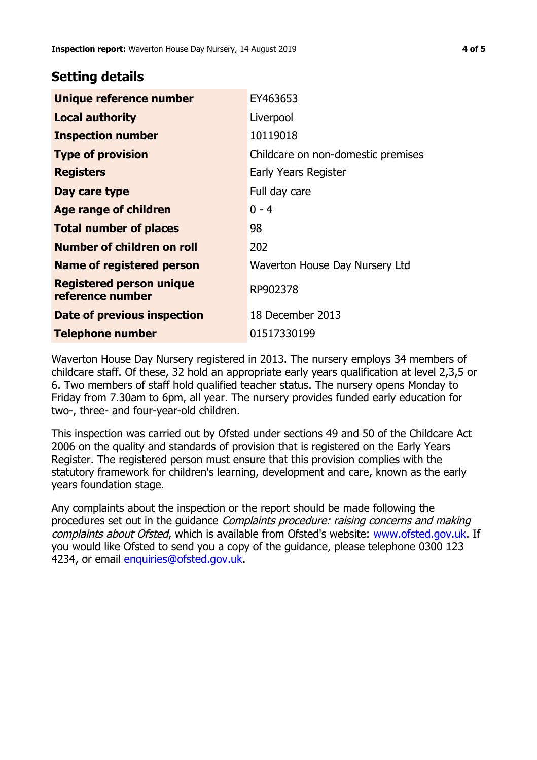## **Setting details**

| Unique reference number                             | EY463653                           |
|-----------------------------------------------------|------------------------------------|
| <b>Local authority</b>                              | Liverpool                          |
| <b>Inspection number</b>                            | 10119018                           |
| <b>Type of provision</b>                            | Childcare on non-domestic premises |
| <b>Registers</b>                                    | Early Years Register               |
| Day care type                                       | Full day care                      |
| Age range of children                               | $0 - 4$                            |
| <b>Total number of places</b>                       | 98                                 |
| Number of children on roll                          | 202                                |
| <b>Name of registered person</b>                    | Waverton House Day Nursery Ltd     |
| <b>Registered person unique</b><br>reference number | RP902378                           |
| Date of previous inspection                         | 18 December 2013                   |
| <b>Telephone number</b>                             | 01517330199                        |

Waverton House Day Nursery registered in 2013. The nursery employs 34 members of childcare staff. Of these, 32 hold an appropriate early years qualification at level 2,3,5 or 6. Two members of staff hold qualified teacher status. The nursery opens Monday to Friday from 7.30am to 6pm, all year. The nursery provides funded early education for two-, three- and four-year-old children.

This inspection was carried out by Ofsted under sections 49 and 50 of the Childcare Act 2006 on the quality and standards of provision that is registered on the Early Years Register. The registered person must ensure that this provision complies with the statutory framework for children's learning, development and care, known as the early years foundation stage.

Any complaints about the inspection or the report should be made following the procedures set out in the guidance Complaints procedure: raising concerns and making complaints about Ofsted, which is available from Ofsted's website: www.ofsted.gov.uk. If you would like Ofsted to send you a copy of the guidance, please telephone 0300 123 4234, or email [enquiries@ofsted.gov.uk.](mailto:enquiries@ofsted.gov.uk)